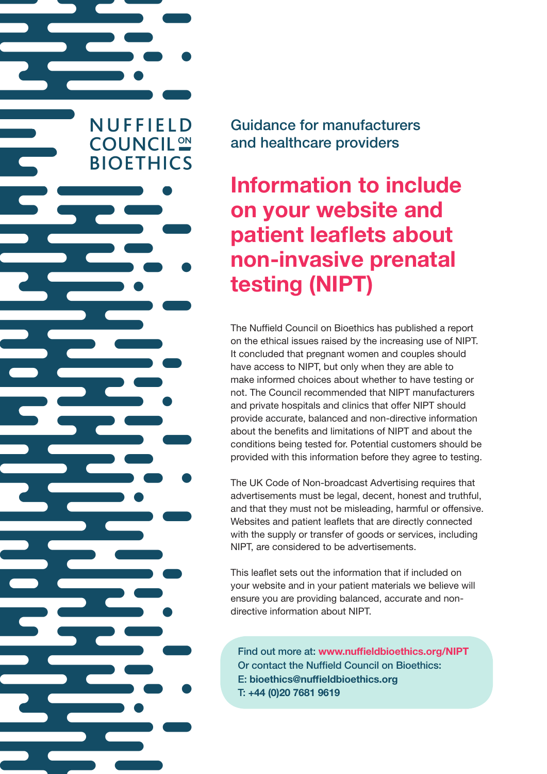Guidance for manufacturers and healthcare providers

**NUFFIELD** 

**COUNCIL<sup>ON</sup>** 

**BIOETHICS** 

Information to include on your website and patient leaflets about non-invasive prenatal testing (NIPT)

The Nuffield Council on Bioethics has published a report on the ethical issues raised by the increasing use of NIPT. It concluded that pregnant women and couples should have access to NIPT, but only when they are able to make informed choices about whether to have testing or not. The Council recommended that NIPT manufacturers and private hospitals and clinics that offer NIPT should provide accurate, balanced and non-directive information about the benefits and limitations of NIPT and about the conditions being tested for. Potential customers should be provided with this information before they agree to testing.

The UK Code of Non-broadcast Advertising requires that advertisements must be legal, decent, honest and truthful, and that they must not be misleading, harmful or offensive. Websites and patient leaflets that are directly connected with the supply or transfer of goods or services, including NIPT, are considered to be advertisements.

This leaflet sets out the information that if included on your website and in your patient materials we believe will ensure you are providing balanced, accurate and nondirective information about NIPT.

Find out more at: www.nuffieldbioethics.org/NIPT Or contact the Nuffield Council on Bioethics: E: bioethics@nuffieldbioethics.org T: +44 (0)20 7681 9619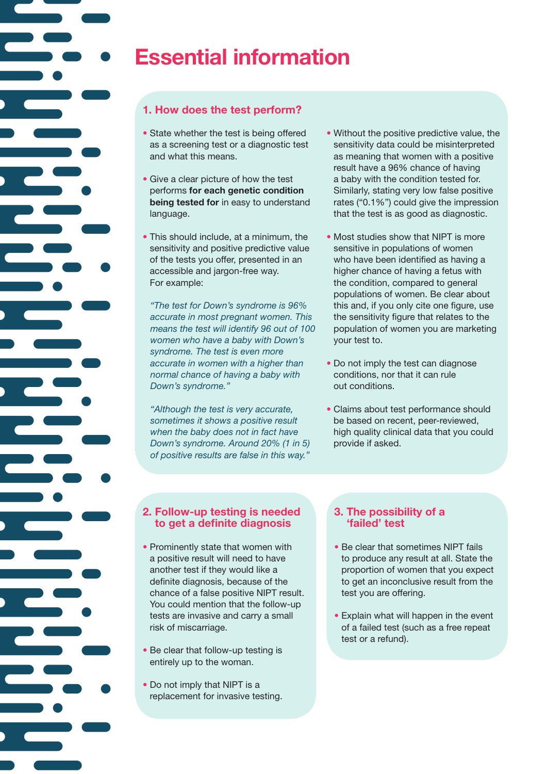

# **Essential information**

# **1. How does the test perform?**

- State whether the test is being offered as a screening test or a diagnostic test and what this means.
- Give a clear picture of how the test performs **for each genetic condition being tested for** in easy to understand language.
- This should include, at a minimum, the sensitivity and positive predictive value of the tests you offer, presented in an accessible and jargon-free way. For example:

 *"The test for Down's syndrome is 96% accurate in most pregnant women. This means the test will identify 96 out of 100 women who have a baby with Down's syndrome. The test is even more accurate in women with a higher than normal chance of having a baby with Down's syndrome."*

 *"Although the test is very accurate, sometimes it shows a positive result when the baby does not in fact have Down's syndrome. Around 20% (1 in 5) of positive results are false in this way."*

- Without the positive predictive value, the sensitivity data could be misinterpreted as meaning that women with a positive result have a 96% chance of having a baby with the condition tested for. Similarly, stating very low false positive rates ("0.1%") could give the impression that the test is as good as diagnostic.
- Most studies show that NIPT is more sensitive in populations of women who have been identified as having a higher chance of having a fetus with the condition, compared to general populations of women. Be clear about this and, if you only cite one figure, use the sensitivity figure that relates to the population of women you are marketing your test to.
- Do not imply the test can diagnose conditions, nor that it can rule out conditions.
- Claims about test performance should be based on recent, peer-reviewed, high quality clinical data that you could provide if asked.

#### **2. Follow-up testing is needed to get a definite diagnosis**

- Prominently state that women with a positive result will need to have another test if they would like a definite diagnosis, because of the chance of a false positive NIPT result. You could mention that the follow-up tests are invasive and carry a small risk of miscarriage.
- Be clear that follow-up testing is entirely up to the woman.
- Do not imply that NIPT is a replacement for invasive testing.

### **3. The possibility of a 'failed' test**

- Be clear that sometimes NIPT fails to produce any result at all. State the proportion of women that you expect to get an inconclusive result from the test you are offering.
- Explain what will happen in the event of a failed test (such as a free repeat test or a refund).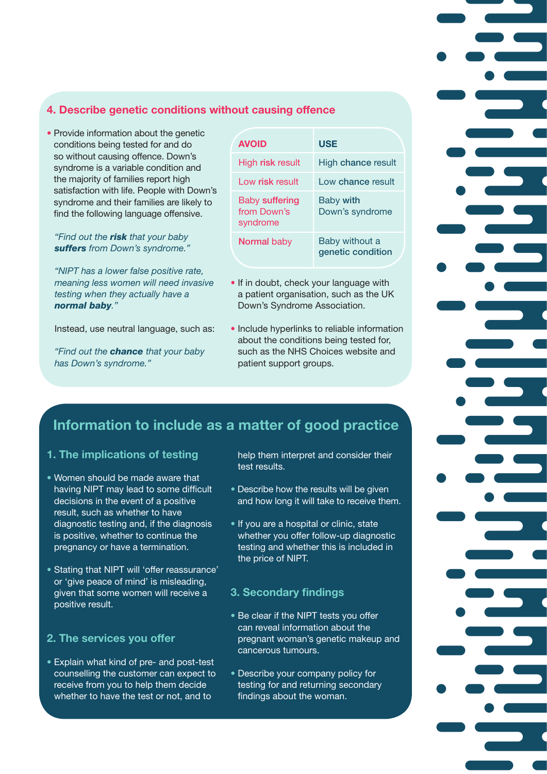### **4. Describe genetic conditions without causing offence**

• Provide information about the genetic conditions being tested for and do so without causing offence. Down's syndrome is a variable condition and the majority of families report high satisfaction with life. People with Down's syndrome and their families are likely to find the following language offensive.

#### *"Find out the risk that your baby suffers from Down's syndrome."*

 *"NIPT has a lower false positive rate, meaning less women will need invasive testing when they actually have a normal baby."*

Instead, use neutral language, such as:

 *"Find out the chance that your baby has Down's syndrome."* 

| <b>AVOID</b>                              | <b>USE</b>                          |
|-------------------------------------------|-------------------------------------|
| High <b>risk</b> result                   | High chance result                  |
| Low risk result                           | Low chance result                   |
| Baby suffering<br>from Down's<br>syndrome | <b>Baby with</b><br>Down's syndrome |
| <b>Normal baby</b>                        | Baby without a<br>genetic condition |

- If in doubt, check your language with a patient organisation, such as the UK Down's Syndrome Association.
- Include hyperlinks to reliable information about the conditions being tested for, such as the NHS Choices website and patient support groups.

# **Information to include as a matter of good practice**

### **1. The implications of testing**

- Women should be made aware that having NIPT may lead to some difficult decisions in the event of a positive result, such as whether to have diagnostic testing and, if the diagnosis is positive, whether to continue the pregnancy or have a termination.
- Stating that NIPT will 'offer reassurance' or 'give peace of mind' is misleading, given that some women will receive a positive result.

# **2. The services you offer**

• Explain what kind of pre- and post-test counselling the customer can expect to receive from you to help them decide whether to have the test or not, and to

help them interpret and consider their test results.

- Describe how the results will be given and how long it will take to receive them.
- If you are a hospital or clinic, state whether you offer follow-up diagnostic testing and whether this is included in the price of NIPT.

# **3. Secondary findings**

- Be clear if the NIPT tests you offer can reveal information about the pregnant woman's genetic makeup and cancerous tumours.
- Describe your company policy for testing for and returning secondary findings about the woman.